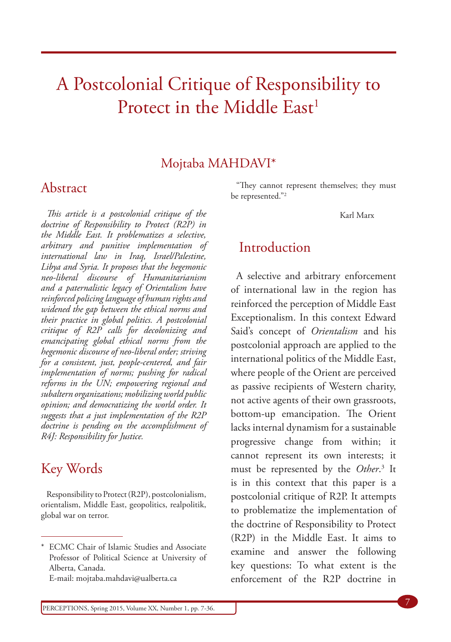# A Postcolonial Critique of Responsibility to Protect in the Middle East<sup>1</sup>

#### Mojtaba MAHDAVI\*

#### Abstract

*This article is a postcolonial critique of the doctrine of Responsibility to Protect (R2P) in the Middle East. It problematizes a selective, arbitrary and punitive implementation of international law in Iraq, Israel/Palestine, Libya and Syria. It proposes that the hegemonic neo-liberal discourse of Humanitarianism and a paternalistic legacy of Orientalism have reinforced policing language of human rights and widened the gap between the ethical norms and their practice in global politics. A postcolonial critique of R2P calls for decolonizing and emancipating global ethical norms from the hegemonic discourse of neo-liberal order; striving for a consistent, just, people-centered, and fair implementation of norms; pushing for radical reforms in the UN; empowering regional and subaltern organizations; mobilizing world public opinion; and democratizing the world order. It suggests that a just implementation of the R2P doctrine is pending on the accomplishment of R4J: Responsibility for Justice.* 

#### Key Words

Responsibility to Protect (R2P), postcolonialism, orientalism, Middle East, geopolitics, realpolitik, global war on terror.

E-mail: mojtaba.mahdavi@ualberta.ca

"They cannot represent themselves; they must be represented."2

Karl Marx

#### Introduction

A selective and arbitrary enforcement of international law in the region has reinforced the perception of Middle East Exceptionalism. In this context Edward Said's concept of *Orientalism* and his postcolonial approach are applied to the international politics of the Middle East, where people of the Orient are perceived as passive recipients of Western charity, not active agents of their own grassroots, bottom-up emancipation. The Orient lacks internal dynamism for a sustainable progressive change from within; it cannot represent its own interests; it must be represented by the *Other*. 3 It is in this context that this paper is a postcolonial critique of R2P. It attempts to problematize the implementation of the doctrine of Responsibility to Protect (R2P) in the Middle East. It aims to examine and answer the following key questions: To what extent is the enforcement of the R2P doctrine in

<sup>\*</sup> ECMC Chair of Islamic Studies and Associate Professor of Political Science at University of Alberta, Canada.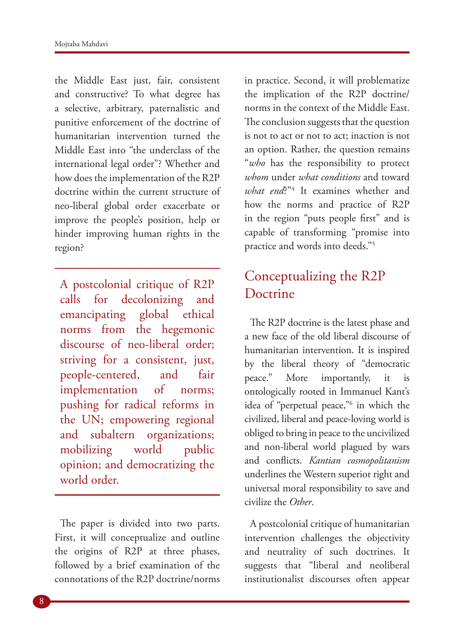the Middle East just, fair, consistent and constructive? To what degree has a selective, arbitrary, paternalistic and punitive enforcement of the doctrine of humanitarian intervention turned the Middle East into "the underclass of the international legal order"? Whether and how does the implementation of the R2P doctrine within the current structure of neo-liberal global order exacerbate or improve the people's position, help or hinder improving human rights in the region?

A postcolonial critique of R2P calls for decolonizing and emancipating global ethical norms from the hegemonic discourse of neo-liberal order; striving for a consistent, just, people-centered, and fair implementation of norms; pushing for radical reforms in the UN; empowering regional and subaltern organizations; mobilizing world public opinion; and democratizing the world order.

The paper is divided into two parts. First, it will conceptualize and outline the origins of R2P at three phases, followed by a brief examination of the connotations of the R2P doctrine/norms

in practice. Second, it will problematize the implication of the R2P doctrine/ norms in the context of the Middle East. The conclusion suggests that the question is not to act or not to act; inaction is not an option. Rather, the question remains "*who* has the responsibility to protect *whom* under *what conditions* and toward *what end*?"4 It examines whether and how the norms and practice of R2P in the region "puts people first" and is capable of transforming "promise into practice and words into deeds."5

## Conceptualizing the R2P Doctrine

The R2P doctrine is the latest phase and a new face of the old liberal discourse of humanitarian intervention. It is inspired by the liberal theory of "democratic peace." More importantly, it is ontologically rooted in Immanuel Kant's idea of "perpetual peace,"6 in which the civilized, liberal and peace-loving world is obliged to bring in peace to the uncivilized and non-liberal world plagued by wars and conflicts. *Kantian cosmopolitanism* underlines the Western superior right and universal moral responsibility to save and civilize the *Other*.

A postcolonial critique of humanitarian intervention challenges the objectivity and neutrality of such doctrines. It suggests that "liberal and neoliberal institutionalist discourses often appear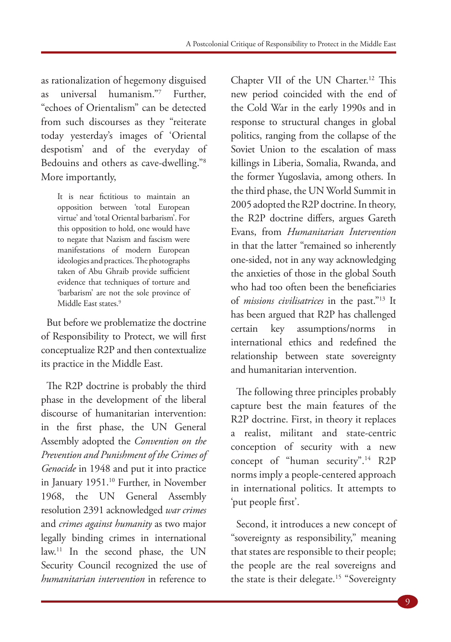as rationalization of hegemony disguised as universal humanism."7 Further, "echoes of Orientalism" can be detected from such discourses as they "reiterate today yesterday's images of 'Oriental despotism' and of the everyday of Bedouins and others as cave-dwelling."8 More importantly,

It is near fictitious to maintain an opposition between 'total European virtue' and 'total Oriental barbarism'. For this opposition to hold, one would have to negate that Nazism and fascism were manifestations of modern European ideologies and practices. The photographs taken of Abu Ghraib provide sufficient evidence that techniques of torture and 'barbarism' are not the sole province of Middle East states.<sup>9</sup>

But before we problematize the doctrine of Responsibility to Protect, we will first conceptualize R2P and then contextualize its practice in the Middle East.

The R2P doctrine is probably the third phase in the development of the liberal discourse of humanitarian intervention: in the first phase, the UN General Assembly adopted the *Convention on the Prevention and Punishment of the Crimes of Genocide* in 1948 and put it into practice in January 1951.10 Further, in November 1968, the UN General Assembly resolution 2391 acknowledged *war crimes* and *crimes against humanity* as two major legally binding crimes in international law.11 In the second phase, the UN Security Council recognized the use of *humanitarian intervention* in reference to

Chapter VII of the UN Charter.<sup>12</sup> This new period coincided with the end of the Cold War in the early 1990s and in response to structural changes in global politics, ranging from the collapse of the Soviet Union to the escalation of mass killings in Liberia, Somalia, Rwanda, and the former Yugoslavia, among others. In the third phase, the UN World Summit in 2005 adopted the R2P doctrine. In theory, the R2P doctrine differs, argues Gareth Evans, from *Humanitarian Intervention* in that the latter "remained so inherently one-sided, not in any way acknowledging the anxieties of those in the global South who had too often been the beneficiaries of *missions civilisatrices* in the past."13 It has been argued that R2P has challenged certain key assumptions/norms in international ethics and redefined the relationship between state sovereignty and humanitarian intervention.

The following three principles probably capture best the main features of the R2P doctrine. First, in theory it replaces a realist, militant and state-centric conception of security with a new concept of "human security".<sup>14</sup> R2P norms imply a people-centered approach in international politics. It attempts to 'put people first'.

Second, it introduces a new concept of "sovereignty as responsibility," meaning that states are responsible to their people; the people are the real sovereigns and the state is their delegate.<sup>15</sup> "Sovereignty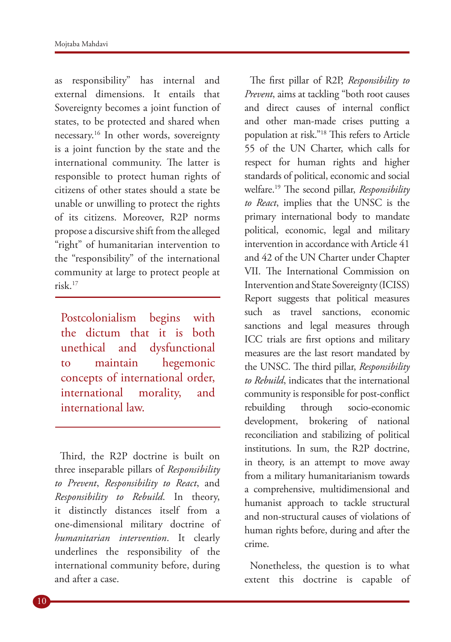as responsibility" has internal and external dimensions. It entails that Sovereignty becomes a joint function of states, to be protected and shared when necessary.16 In other words, sovereignty is a joint function by the state and the international community. The latter is responsible to protect human rights of citizens of other states should a state be unable or unwilling to protect the rights of its citizens. Moreover, R2P norms propose a discursive shift from the alleged "right" of humanitarian intervention to the "responsibility" of the international community at large to protect people at risk.17

Postcolonialism begins with the dictum that it is both unethical and dysfunctional to maintain hegemonic concepts of international order, international morality, and international law.

Third, the R2P doctrine is built on three inseparable pillars of *Responsibility to Prevent*, *Responsibility to React*, and *Responsibility to Rebuild*. In theory, it distinctly distances itself from a one-dimensional military doctrine of *humanitarian intervention*. It clearly underlines the responsibility of the international community before, during and after a case.

The first pillar of R2P, *Responsibility to Prevent*, aims at tackling "both root causes and direct causes of internal conflict and other man-made crises putting a population at risk."18 This refers to Article 55 of the UN Charter, which calls for respect for human rights and higher standards of political, economic and social welfare.19 The second pillar, *Responsibility to React*, implies that the UNSC is the primary international body to mandate political, economic, legal and military intervention in accordance with Article 41 and 42 of the UN Charter under Chapter VII. The International Commission on Intervention and State Sovereignty (ICISS) Report suggests that political measures such as travel sanctions, economic sanctions and legal measures through ICC trials are first options and military measures are the last resort mandated by the UNSC. The third pillar, *Responsibility to Rebuild*, indicates that the international community is responsible for post-conflict rebuilding through socio-economic development, brokering of national reconciliation and stabilizing of political institutions. In sum, the R2P doctrine, in theory, is an attempt to move away from a military humanitarianism towards a comprehensive, multidimensional and humanist approach to tackle structural and non-structural causes of violations of human rights before, during and after the crime.

Nonetheless, the question is to what extent this doctrine is capable of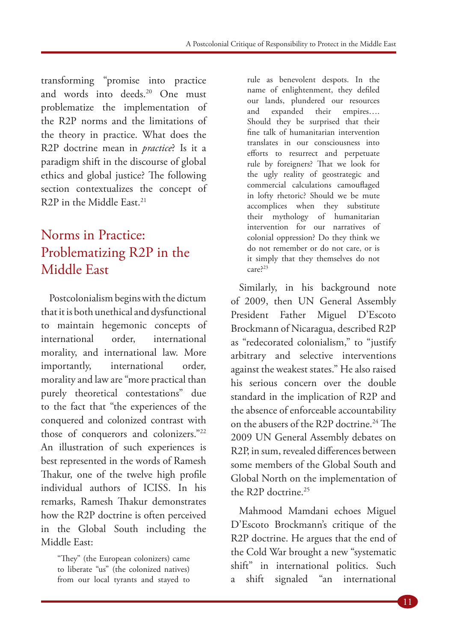transforming "promise into practice and words into deeds.<sup>20</sup> One must problematize the implementation of the R2P norms and the limitations of the theory in practice. What does the R2P doctrine mean in *practice*? Is it a paradigm shift in the discourse of global ethics and global justice? The following section contextualizes the concept of R2P in the Middle East.<sup>21</sup>

# Norms in Practice: Problematizing R2P in the Middle East

Postcolonialism begins with the dictum that it is both unethical and dysfunctional to maintain hegemonic concepts of international order, international morality, and international law. More importantly, international order, morality and law are "more practical than purely theoretical contestations" due to the fact that "the experiences of the conquered and colonized contrast with those of conquerors and colonizers."22 An illustration of such experiences is best represented in the words of Ramesh Thakur, one of the twelve high profile individual authors of ICISS. In his remarks, Ramesh Thakur demonstrates how the R2P doctrine is often perceived in the Global South including the Middle East:

"They" (the European colonizers) came to liberate "us" (the colonized natives) from our local tyrants and stayed to

rule as benevolent despots. In the name of enlightenment, they defiled our lands, plundered our resources and expanded their empires…. Should they be surprised that their fine talk of humanitarian intervention translates in our consciousness into efforts to resurrect and perpetuate rule by foreigners? That we look for the ugly reality of geostrategic and commercial calculations camouflaged in lofty rhetoric? Should we be mute accomplices when they substitute their mythology of humanitarian intervention for our narratives of colonial oppression? Do they think we do not remember or do not care, or is it simply that they themselves do not care?<sup>23</sup>

Similarly, in his background note of 2009, then UN General Assembly President Father Miguel D'Escoto Brockmann of Nicaragua, described R2P as "redecorated colonialism," to "justify arbitrary and selective interventions against the weakest states." He also raised his serious concern over the double standard in the implication of R2P and the absence of enforceable accountability on the abusers of the R2P doctrine.24 The 2009 UN General Assembly debates on R2P, in sum, revealed differences between some members of the Global South and Global North on the implementation of the R2P doctrine.<sup>25</sup>

Mahmood Mamdani echoes Miguel D'Escoto Brockmann's critique of the R2P doctrine. He argues that the end of the Cold War brought a new "systematic shift" in international politics. Such a shift signaled "an international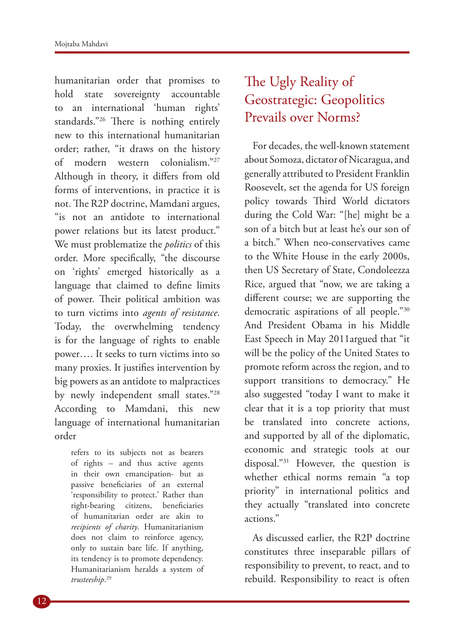humanitarian order that promises to hold state sovereignty accountable to an international 'human rights' standards."26 There is nothing entirely new to this international humanitarian order; rather, "it draws on the history of modern western colonialism."27 Although in theory, it differs from old forms of interventions, in practice it is not. The R2P doctrine, Mamdani argues, "is not an antidote to international power relations but its latest product." We must problematize the *politics* of this order. More specifically, "the discourse on 'rights' emerged historically as a language that claimed to define limits of power. Their political ambition was to turn victims into *agents of resistance*. Today, the overwhelming tendency is for the language of rights to enable power…. It seeks to turn victims into so many proxies. It justifies intervention by big powers as an antidote to malpractices by newly independent small states."28 According to Mamdani, this new language of international humanitarian order

> refers to its subjects not as bearers of rights – and thus active agents in their own emancipation- but as passive beneficiaries of an external 'responsibility to protect.' Rather than right-bearing citizens, beneficiaries of humanitarian order are akin to *recipients of charity*. Humanitarianism does not claim to reinforce agency, only to sustain bare life. If anything, its tendency is to promote dependency. Humanitarianism heralds a system of *trusteeship*. 29

# The Ugly Reality of Geostrategic: Geopolitics Prevails over Norms?

For decades, the well-known statement about Somoza, dictator of Nicaragua, and generally attributed to President Franklin Roosevelt, set the agenda for US foreign policy towards Third World dictators during the Cold War: "[he] might be a son of a bitch but at least he's our son of a bitch." When neo-conservatives came to the White House in the early 2000s, then US Secretary of State, Condoleezza Rice, argued that "now, we are taking a different course; we are supporting the democratic aspirations of all people."30 And President Obama in his Middle East Speech in May 2011argued that "it will be the policy of the United States to promote reform across the region, and to support transitions to democracy." He also suggested "today I want to make it clear that it is a top priority that must be translated into concrete actions, and supported by all of the diplomatic, economic and strategic tools at our disposal."31 However, the question is whether ethical norms remain "a top priority" in international politics and they actually "translated into concrete actions."

As discussed earlier, the R2P doctrine constitutes three inseparable pillars of responsibility to prevent, to react, and to rebuild. Responsibility to react is often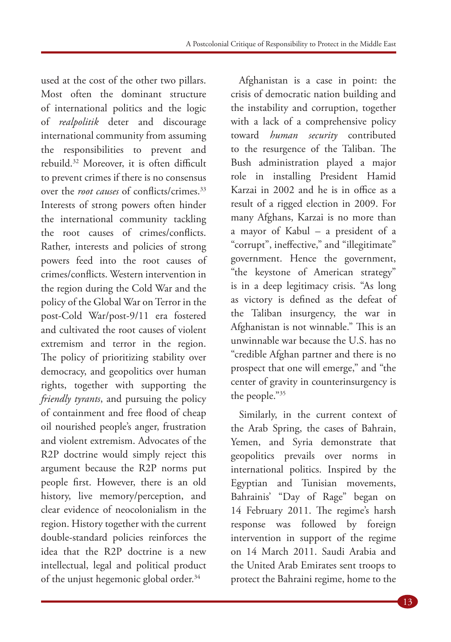used at the cost of the other two pillars. Most often the dominant structure of international politics and the logic of *realpolitik* deter and discourage international community from assuming the responsibilities to prevent and rebuild.32 Moreover, it is often difficult to prevent crimes if there is no consensus over the *root causes* of conflicts/crimes.33 Interests of strong powers often hinder the international community tackling the root causes of crimes/conflicts. Rather, interests and policies of strong powers feed into the root causes of crimes/conflicts. Western intervention in the region during the Cold War and the policy of the Global War on Terror in the post-Cold War/post-9/11 era fostered and cultivated the root causes of violent extremism and terror in the region. The policy of prioritizing stability over democracy, and geopolitics over human rights, together with supporting the *friendly tyrants*, and pursuing the policy of containment and free flood of cheap oil nourished people's anger, frustration and violent extremism. Advocates of the R2P doctrine would simply reject this argument because the R2P norms put people first. However, there is an old history, live memory/perception, and clear evidence of neocolonialism in the region. History together with the current double-standard policies reinforces the idea that the R2P doctrine is a new intellectual, legal and political product of the unjust hegemonic global order.<sup>34</sup>

Afghanistan is a case in point: the crisis of democratic nation building and the instability and corruption, together with a lack of a comprehensive policy toward *human security* contributed to the resurgence of the Taliban. The Bush administration played a major role in installing President Hamid Karzai in 2002 and he is in office as a result of a rigged election in 2009. For many Afghans, Karzai is no more than a mayor of Kabul – a president of a "corrupt", ineffective," and "illegitimate" government. Hence the government, "the keystone of American strategy" is in a deep legitimacy crisis. "As long as victory is defined as the defeat of the Taliban insurgency, the war in Afghanistan is not winnable." This is an unwinnable war because the U.S. has no "credible Afghan partner and there is no prospect that one will emerge," and "the center of gravity in counterinsurgency is the people."35

Similarly, in the current context of the Arab Spring, the cases of Bahrain, Yemen, and Syria demonstrate that geopolitics prevails over norms in international politics. Inspired by the Egyptian and Tunisian movements, Bahrainis' "Day of Rage" began on 14 February 2011. The regime's harsh response was followed by foreign intervention in support of the regime on 14 March 2011. Saudi Arabia and the United Arab Emirates sent troops to protect the Bahraini regime, home to the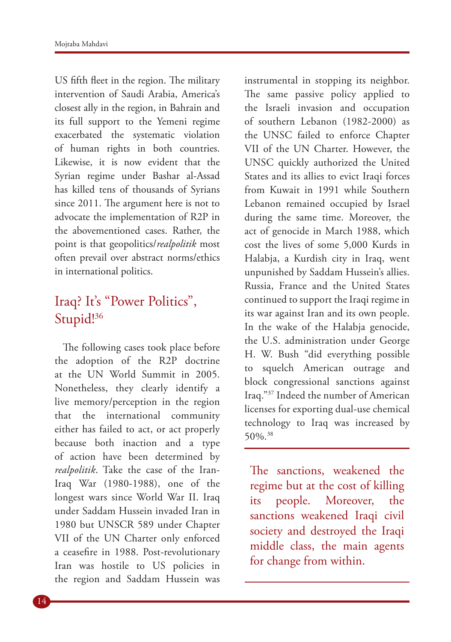US fifth fleet in the region. The military intervention of Saudi Arabia, America's closest ally in the region, in Bahrain and its full support to the Yemeni regime exacerbated the systematic violation of human rights in both countries. Likewise, it is now evident that the Syrian regime under Bashar al-Assad has killed tens of thousands of Syrians since 2011. The argument here is not to advocate the implementation of R2P in the abovementioned cases. Rather, the point is that geopolitics/*realpolitik* most often prevail over abstract norms/ethics in international politics.

### Iraq? It's "Power Politics", Stupid!<sup>36</sup>

The following cases took place before the adoption of the R2P doctrine at the UN World Summit in 2005. Nonetheless, they clearly identify a live memory/perception in the region that the international community either has failed to act, or act properly because both inaction and a type of action have been determined by *realpolitik*. Take the case of the Iran-Iraq War (1980-1988), one of the longest wars since World War II. Iraq under Saddam Hussein invaded Iran in 1980 but UNSCR 589 under Chapter VII of the UN Charter only enforced a ceasefire in 1988. Post-revolutionary Iran was hostile to US policies in the region and Saddam Hussein was

instrumental in stopping its neighbor. The same passive policy applied to the Israeli invasion and occupation of southern Lebanon (1982-2000) as the UNSC failed to enforce Chapter VII of the UN Charter. However, the UNSC quickly authorized the United States and its allies to evict Iraqi forces from Kuwait in 1991 while Southern Lebanon remained occupied by Israel during the same time. Moreover, the act of genocide in March 1988, which cost the lives of some 5,000 Kurds in Halabja, a Kurdish city in Iraq, went unpunished by Saddam Hussein's allies. Russia, France and the United States continued to support the Iraqi regime in its war against Iran and its own people. In the wake of the Halabja genocide, the U.S. administration under George H. W. Bush "did everything possible to squelch American outrage and block congressional sanctions against Iraq."37 Indeed the number of American licenses for exporting dual-use chemical technology to Iraq was increased by 50%.38

The sanctions, weakened the regime but at the cost of killing its people. Moreover, the sanctions weakened Iraqi civil society and destroyed the Iraqi middle class, the main agents for change from within.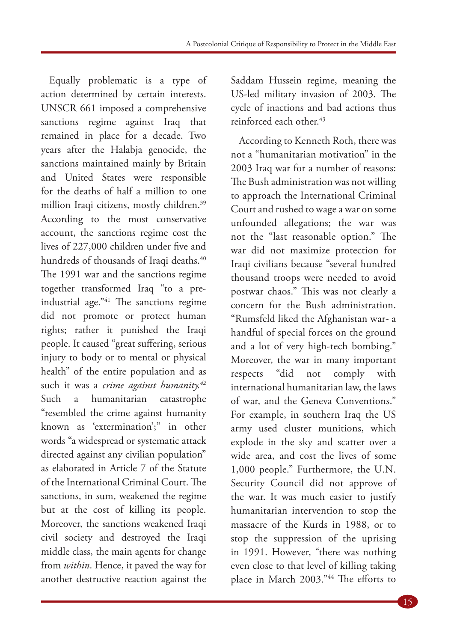Equally problematic is a type of action determined by certain interests. UNSCR 661 imposed a comprehensive sanctions regime against Iraq that remained in place for a decade. Two years after the Halabja genocide, the sanctions maintained mainly by Britain and United States were responsible for the deaths of half a million to one million Iraqi citizens, mostly children.39 According to the most conservative account, the sanctions regime cost the lives of 227,000 children under five and hundreds of thousands of Iraqi deaths.<sup>40</sup> The 1991 war and the sanctions regime together transformed Iraq "to a preindustrial age."41 The sanctions regime did not promote or protect human rights; rather it punished the Iraqi people. It caused "great suffering, serious injury to body or to mental or physical health" of the entire population and as such it was a *crime against humanity.42* Such a humanitarian catastrophe "resembled the crime against humanity known as 'extermination';" in other words "a widespread or systematic attack directed against any civilian population" as elaborated in Article 7 of the Statute of the International Criminal Court. The sanctions, in sum, weakened the regime but at the cost of killing its people. Moreover, the sanctions weakened Iraqi civil society and destroyed the Iraqi middle class, the main agents for change from *within*. Hence, it paved the way for another destructive reaction against the

Saddam Hussein regime, meaning the US-led military invasion of 2003. The cycle of inactions and bad actions thus reinforced each other.43

According to Kenneth Roth, there was not a "humanitarian motivation" in the 2003 Iraq war for a number of reasons: The Bush administration was not willing to approach the International Criminal Court and rushed to wage a war on some unfounded allegations; the war was not the "last reasonable option." The war did not maximize protection for Iraqi civilians because "several hundred thousand troops were needed to avoid postwar chaos." This was not clearly a concern for the Bush administration. "Rumsfeld liked the Afghanistan war- a handful of special forces on the ground and a lot of very high-tech bombing." Moreover, the war in many important respects "did not comply with international humanitarian law, the laws of war, and the Geneva Conventions." For example, in southern Iraq the US army used cluster munitions, which explode in the sky and scatter over a wide area, and cost the lives of some 1,000 people." Furthermore, the U.N. Security Council did not approve of the war. It was much easier to justify humanitarian intervention to stop the massacre of the Kurds in 1988, or to stop the suppression of the uprising in 1991. However, "there was nothing even close to that level of killing taking place in March 2003."44 The efforts to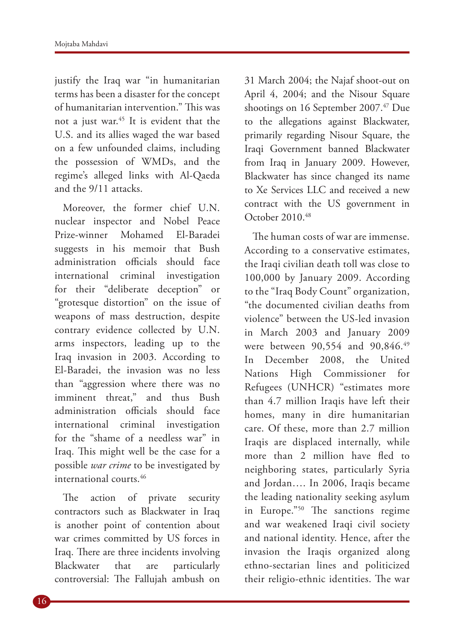justify the Iraq war "in humanitarian terms has been a disaster for the concept of humanitarian intervention." This was not a just war.45 It is evident that the U.S. and its allies waged the war based on a few unfounded claims, including the possession of WMDs, and the regime's alleged links with Al-Qaeda and the 9/11 attacks.

Moreover, the former chief U.N. nuclear inspector and Nobel Peace Prize-winner Mohamed El-Baradei suggests in his memoir that Bush administration officials should face international criminal investigation for their "deliberate deception" or "grotesque distortion" on the issue of weapons of mass destruction, despite contrary evidence collected by U.N. arms inspectors, leading up to the Iraq invasion in 2003. According to El-Baradei, the invasion was no less than "aggression where there was no imminent threat," and thus Bush administration officials should face international criminal investigation for the "shame of a needless war" in Iraq. This might well be the case for a possible *war crime* to be investigated by international courts.<sup>46</sup>

The action of private security contractors such as Blackwater in Iraq is another point of contention about war crimes committed by US forces in Iraq. There are three incidents involving Blackwater that are particularly controversial: The Fallujah ambush on

31 March 2004; the Najaf shoot-out on April 4, 2004; and the Nisour Square shootings on 16 September 2007.<sup>47</sup> Due to the allegations against Blackwater, primarily regarding Nisour Square, the Iraqi Government banned Blackwater from Iraq in January 2009. However, Blackwater has since changed its name to Xe Services LLC and received a new contract with the US government in October 2010.48

The human costs of war are immense. According to a conservative estimates, the Iraqi civilian death toll was close to 100,000 by January 2009. According to the "Iraq Body Count" organization, "the documented civilian deaths from violence" between the US-led invasion in March 2003 and January 2009 were between 90,554 and 90,846.49 In December 2008, the United Nations High Commissioner for Refugees (UNHCR) "estimates more than 4.7 million Iraqis have left their homes, many in dire humanitarian care. Of these, more than 2.7 million Iraqis are displaced internally, while more than 2 million have fled to neighboring states, particularly Syria and Jordan…. In 2006, Iraqis became the leading nationality seeking asylum in Europe."50 The sanctions regime and war weakened Iraqi civil society and national identity. Hence, after the invasion the Iraqis organized along ethno-sectarian lines and politicized their religio-ethnic identities. The war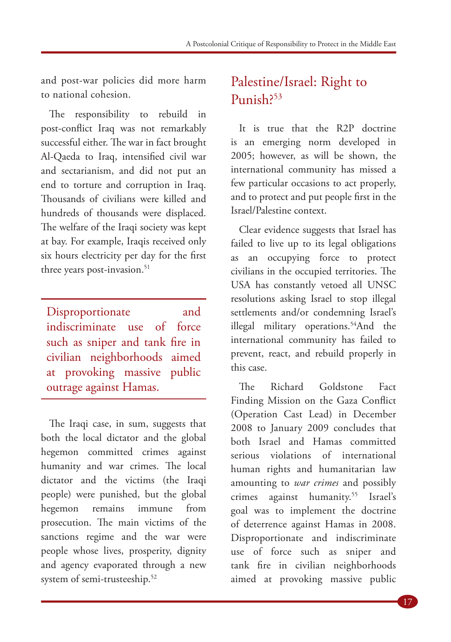and post-war policies did more harm to national cohesion.

The responsibility to rebuild in post-conflict Iraq was not remarkably successful either. The war in fact brought Al-Qaeda to Iraq, intensified civil war and sectarianism, and did not put an end to torture and corruption in Iraq. Thousands of civilians were killed and hundreds of thousands were displaced. The welfare of the Iraqi society was kept at bay. For example, Iraqis received only six hours electricity per day for the first three years post-invasion.<sup>51</sup>

Disproportionate and indiscriminate use of force such as sniper and tank fire in civilian neighborhoods aimed at provoking massive public outrage against Hamas.

The Iraqi case, in sum, suggests that both the local dictator and the global hegemon committed crimes against humanity and war crimes. The local dictator and the victims (the Iraqi people) were punished, but the global hegemon remains immune from prosecution. The main victims of the sanctions regime and the war were people whose lives, prosperity, dignity and agency evaporated through a new system of semi-trusteeship.<sup>52</sup>

#### Palestine/Israel: Right to Punish?53

It is true that the R2P doctrine is an emerging norm developed in 2005; however, as will be shown, the international community has missed a few particular occasions to act properly, and to protect and put people first in the Israel/Palestine context.

Clear evidence suggests that Israel has failed to live up to its legal obligations as an occupying force to protect civilians in the occupied territories. The USA has constantly vetoed all UNSC resolutions asking Israel to stop illegal settlements and/or condemning Israel's illegal military operations.<sup>54</sup>And the international community has failed to prevent, react, and rebuild properly in this case.

The Richard Goldstone Fact Finding Mission on the Gaza Conflict (Operation Cast Lead) in December 2008 to January 2009 concludes that both Israel and Hamas committed serious violations of international human rights and humanitarian law amounting to *war crimes* and possibly crimes against humanity.55 Israel's goal was to implement the doctrine of deterrence against Hamas in 2008. Disproportionate and indiscriminate use of force such as sniper and tank fire in civilian neighborhoods aimed at provoking massive public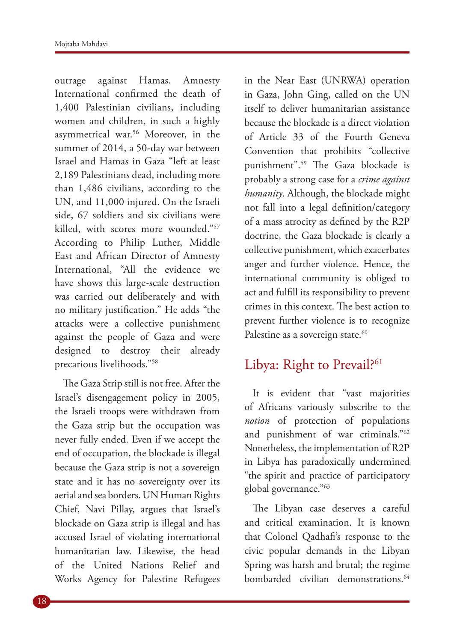outrage against Hamas. Amnesty International confirmed the death of 1,400 Palestinian civilians, including women and children, in such a highly asymmetrical war.56 Moreover, in the summer of 2014, a 50-day war between Israel and Hamas in Gaza "left at least 2,189 Palestinians dead, including more than 1,486 civilians, according to the UN, and 11,000 injured. On the Israeli side, 67 soldiers and six civilians were killed, with scores more wounded."57 According to Philip Luther, Middle East and African Director of Amnesty International, "All the evidence we have shows this large-scale destruction was carried out deliberately and with no military justification." He adds "the attacks were a collective punishment against the people of Gaza and were designed to destroy their already precarious livelihoods."58

The Gaza Strip still is not free. After the Israel's disengagement policy in 2005, the Israeli troops were withdrawn from the Gaza strip but the occupation was never fully ended. Even if we accept the end of occupation, the blockade is illegal because the Gaza strip is not a sovereign state and it has no sovereignty over its aerial and sea borders. UN Human Rights Chief, Navi Pillay, argues that Israel's blockade on Gaza strip is illegal and has accused Israel of violating international humanitarian law. Likewise, the head of the United Nations Relief and Works Agency for Palestine Refugees

in the Near East (UNRWA) operation in Gaza, John Ging, called on the UN itself to deliver humanitarian assistance because the blockade is a direct violation of Article 33 of the Fourth Geneva Convention that prohibits "collective punishment".59 The Gaza blockade is probably a strong case for a *crime against humanity*. Although, the blockade might not fall into a legal definition/category of a mass atrocity as defined by the R2P doctrine, the Gaza blockade is clearly a collective punishment, which exacerbates anger and further violence. Hence, the international community is obliged to act and fulfill its responsibility to prevent crimes in this context. The best action to prevent further violence is to recognize Palestine as a sovereign state.<sup>60</sup>

#### Libya: Right to Prevail?<sup>61</sup>

It is evident that "vast majorities of Africans variously subscribe to the *notion* of protection of populations and punishment of war criminals."62 Nonetheless, the implementation of R2P in Libya has paradoxically undermined "the spirit and practice of participatory global governance."63

The Libyan case deserves a careful and critical examination. It is known that Colonel Qadhafi's response to the civic popular demands in the Libyan Spring was harsh and brutal; the regime bombarded civilian demonstrations.<sup>64</sup>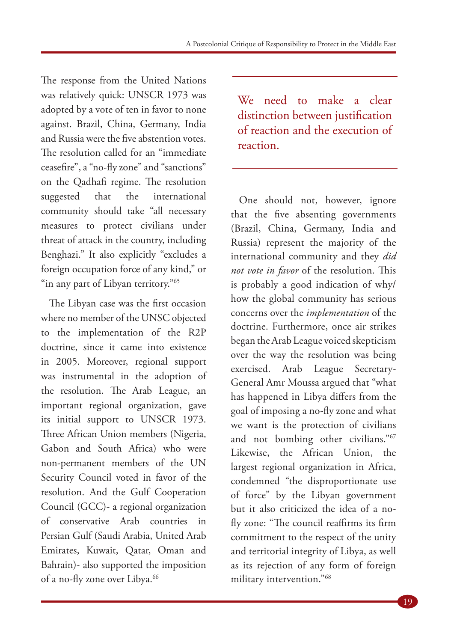The response from the United Nations was relatively quick: UNSCR 1973 was adopted by a vote of ten in favor to none against. Brazil, China, Germany, India and Russia were the five abstention votes. The resolution called for an "immediate ceasefire", a "no-fly zone" and "sanctions" on the Qadhafi regime. The resolution suggested that the international community should take "all necessary measures to protect civilians under threat of attack in the country, including Benghazi." It also explicitly "excludes a foreign occupation force of any kind," or "in any part of Libyan territory."<sup>65</sup>

The Libyan case was the first occasion where no member of the UNSC objected to the implementation of the R2P doctrine, since it came into existence in 2005. Moreover, regional support was instrumental in the adoption of the resolution. The Arab League, an important regional organization, gave its initial support to UNSCR 1973. Three African Union members (Nigeria, Gabon and South Africa) who were non-permanent members of the UN Security Council voted in favor of the resolution. And the Gulf Cooperation Council (GCC)- a regional organization of conservative Arab countries in Persian Gulf (Saudi Arabia, United Arab Emirates, Kuwait, Qatar, Oman and Bahrain)- also supported the imposition of a no-fly zone over Libya.<sup>66</sup>

We need to make a clear distinction between justification of reaction and the execution of reaction.

One should not, however, ignore that the five absenting governments (Brazil, China, Germany, India and Russia) represent the majority of the international community and they *did not vote in favor* of the resolution. This is probably a good indication of why/ how the global community has serious concerns over the *implementation* of the doctrine. Furthermore, once air strikes began the Arab League voiced skepticism over the way the resolution was being exercised. Arab League Secretary-General Amr Moussa argued that "what has happened in Libya differs from the goal of imposing a no-fly zone and what we want is the protection of civilians and not bombing other civilians."67 Likewise, the African Union, the largest regional organization in Africa, condemned "the disproportionate use of force" by the Libyan government but it also criticized the idea of a nofly zone: "The council reaffirms its firm commitment to the respect of the unity and territorial integrity of Libya, as well as its rejection of any form of foreign military intervention."68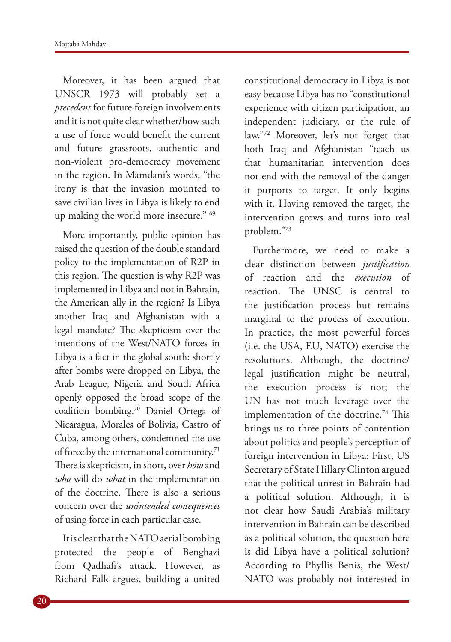Moreover, it has been argued that UNSCR 1973 will probably set a *precedent* for future foreign involvements and it is not quite clear whether/how such a use of force would benefit the current and future grassroots, authentic and non-violent pro-democracy movement in the region. In Mamdani's words, "the irony is that the invasion mounted to save civilian lives in Libya is likely to end up making the world more insecure." 69

More importantly, public opinion has raised the question of the double standard policy to the implementation of R2P in this region. The question is why R2P was implemented in Libya and not in Bahrain, the American ally in the region? Is Libya another Iraq and Afghanistan with a legal mandate? The skepticism over the intentions of the West/NATO forces in Libya is a fact in the global south: shortly after bombs were dropped on Libya, the Arab League, Nigeria and South Africa openly opposed the broad scope of the coalition bombing.70 Daniel Ortega of Nicaragua, Morales of Bolivia, Castro of Cuba, among others, condemned the use of force by the international community.<sup>71</sup> There is skepticism, in short, over *how* and *who* will do *what* in the implementation of the doctrine. There is also a serious concern over the *unintended consequences* of using force in each particular case.

It is clear that the NATO aerial bombing protected the people of Benghazi from Qadhafi's attack. However, as Richard Falk argues, building a united

constitutional democracy in Libya is not easy because Libya has no "constitutional experience with citizen participation, an independent judiciary, or the rule of law."72 Moreover, let's not forget that both Iraq and Afghanistan "teach us that humanitarian intervention does not end with the removal of the danger it purports to target. It only begins with it. Having removed the target, the intervention grows and turns into real problem."73

Furthermore, we need to make a clear distinction between *justification* of reaction and the *execution* of reaction. The UNSC is central to the justification process but remains marginal to the process of execution. In practice, the most powerful forces (i.e. the USA, EU, NATO) exercise the resolutions. Although, the doctrine/ legal justification might be neutral, the execution process is not; the UN has not much leverage over the implementation of the doctrine.<sup>74</sup> This brings us to three points of contention about politics and people's perception of foreign intervention in Libya: First, US Secretary of State Hillary Clinton argued that the political unrest in Bahrain had a political solution. Although, it is not clear how Saudi Arabia's military intervention in Bahrain can be described as a political solution, the question here is did Libya have a political solution? According to Phyllis Benis, the West/ NATO was probably not interested in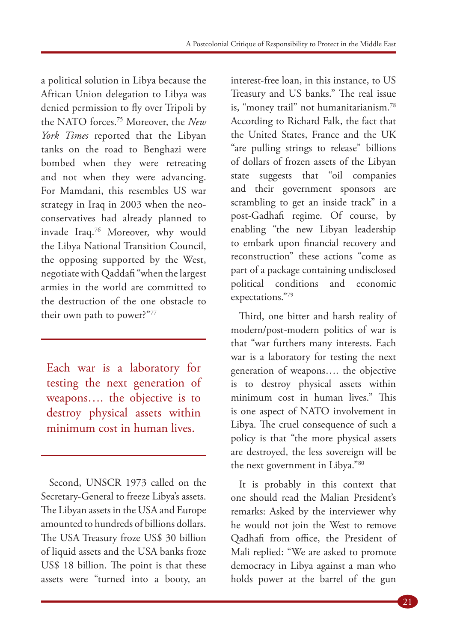a political solution in Libya because the African Union delegation to Libya was denied permission to fly over Tripoli by the NATO forces.75 Moreover, the *New York Times* reported that the Libyan tanks on the road to Benghazi were bombed when they were retreating and not when they were advancing. For Mamdani, this resembles US war strategy in Iraq in 2003 when the neoconservatives had already planned to invade Iraq.76 Moreover, why would the Libya National Transition Council, the opposing supported by the West, negotiate with Qaddafi "when the largest armies in the world are committed to the destruction of the one obstacle to their own path to power?"77

Each war is a laboratory for testing the next generation of weapons…. the objective is to destroy physical assets within minimum cost in human lives.

Second, UNSCR 1973 called on the Secretary-General to freeze Libya's assets. The Libyan assets in the USA and Europe amounted to hundreds of billions dollars. The USA Treasury froze US\$ 30 billion of liquid assets and the USA banks froze US\$ 18 billion. The point is that these assets were "turned into a booty, an

interest-free loan, in this instance, to US Treasury and US banks." The real issue is, "money trail" not humanitarianism.78 According to Richard Falk, the fact that the United States, France and the UK "are pulling strings to release" billions of dollars of frozen assets of the Libyan state suggests that "oil companies and their government sponsors are scrambling to get an inside track" in a post-Gadhafi regime. Of course, by enabling "the new Libyan leadership to embark upon financial recovery and reconstruction" these actions "come as part of a package containing undisclosed political conditions and economic expectations."79

Third, one bitter and harsh reality of modern/post-modern politics of war is that "war furthers many interests. Each war is a laboratory for testing the next generation of weapons…. the objective is to destroy physical assets within minimum cost in human lives." This is one aspect of NATO involvement in Libya. The cruel consequence of such a policy is that "the more physical assets are destroyed, the less sovereign will be the next government in Libya."80

It is probably in this context that one should read the Malian President's remarks: Asked by the interviewer why he would not join the West to remove Qadhafi from office, the President of Mali replied: "We are asked to promote democracy in Libya against a man who holds power at the barrel of the gun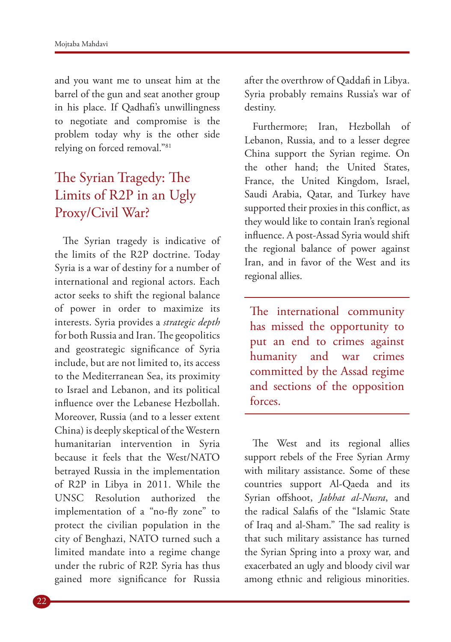and you want me to unseat him at the barrel of the gun and seat another group in his place. If Qadhafi's unwillingness to negotiate and compromise is the problem today why is the other side relying on forced removal."81

# The Syrian Tragedy: The Limits of R2P in an Ugly Proxy/Civil War?

The Syrian tragedy is indicative of the limits of the R2P doctrine. Today Syria is a war of destiny for a number of international and regional actors. Each actor seeks to shift the regional balance of power in order to maximize its interests. Syria provides a *strategic depth* for both Russia and Iran. The geopolitics and geostrategic significance of Syria include, but are not limited to, its access to the Mediterranean Sea, its proximity to Israel and Lebanon, and its political influence over the Lebanese Hezbollah. Moreover, Russia (and to a lesser extent China) is deeply skeptical of the Western humanitarian intervention in Syria because it feels that the West/NATO betrayed Russia in the implementation of R2P in Libya in 2011. While the UNSC Resolution authorized the implementation of a "no-fly zone" to protect the civilian population in the city of Benghazi, NATO turned such a limited mandate into a regime change under the rubric of R2P. Syria has thus gained more significance for Russia

after the overthrow of Qaddafi in Libya. Syria probably remains Russia's war of destiny.

Furthermore; Iran, Hezbollah of Lebanon, Russia, and to a lesser degree China support the Syrian regime. On the other hand; the United States, France, the United Kingdom, Israel, Saudi Arabia, Qatar, and Turkey have supported their proxies in this conflict, as they would like to contain Iran's regional influence. A post-Assad Syria would shift the regional balance of power against Iran, and in favor of the West and its regional allies.

The international community has missed the opportunity to put an end to crimes against humanity and war crimes committed by the Assad regime and sections of the opposition forces.

The West and its regional allies support rebels of the Free Syrian Army with military assistance. Some of these countries support Al-Qaeda and its Syrian offshoot, *Jabhat al-Nusra*, and the radical Salafis of the "Islamic State of Iraq and al-Sham." The sad reality is that such military assistance has turned the Syrian Spring into a proxy war, and exacerbated an ugly and bloody civil war among ethnic and religious minorities.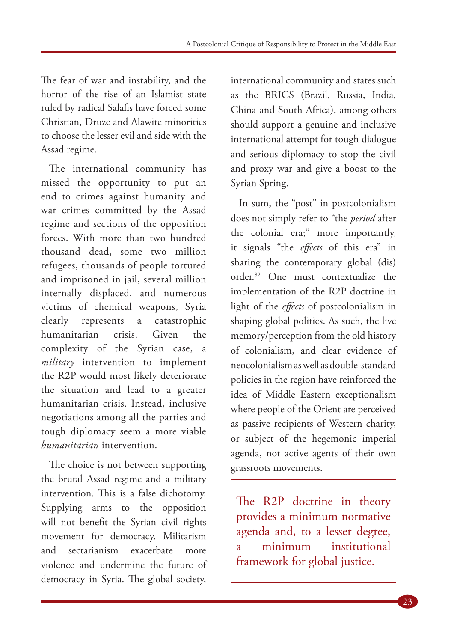The fear of war and instability, and the horror of the rise of an Islamist state ruled by radical Salafis have forced some Christian, Druze and Alawite minorities to choose the lesser evil and side with the Assad regime.

The international community has missed the opportunity to put an end to crimes against humanity and war crimes committed by the Assad regime and sections of the opposition forces. With more than two hundred thousand dead, some two million refugees, thousands of people tortured and imprisoned in jail, several million internally displaced, and numerous victims of chemical weapons, Syria clearly represents a catastrophic humanitarian crisis. Given the complexity of the Syrian case, a *military* intervention to implement the R2P would most likely deteriorate the situation and lead to a greater humanitarian crisis. Instead, inclusive negotiations among all the parties and tough diplomacy seem a more viable *humanitarian* intervention.

The choice is not between supporting the brutal Assad regime and a military intervention. This is a false dichotomy. Supplying arms to the opposition will not benefit the Syrian civil rights movement for democracy. Militarism and sectarianism exacerbate more violence and undermine the future of democracy in Syria. The global society,

international community and states such as the BRICS (Brazil, Russia, India, China and South Africa), among others should support a genuine and inclusive international attempt for tough dialogue and serious diplomacy to stop the civil and proxy war and give a boost to the Syrian Spring.

In sum, the "post" in postcolonialism does not simply refer to "the *period* after the colonial era;" more importantly, it signals "the *effects* of this era" in sharing the contemporary global (dis) order.82 One must contextualize the implementation of the R2P doctrine in light of the *effects* of postcolonialism in shaping global politics. As such, the live memory/perception from the old history of colonialism, and clear evidence of neocolonialism as well as double-standard policies in the region have reinforced the idea of Middle Eastern exceptionalism where people of the Orient are perceived as passive recipients of Western charity, or subject of the hegemonic imperial agenda, not active agents of their own grassroots movements.

The R2P doctrine in theory provides a minimum normative agenda and, to a lesser degree, a minimum institutional framework for global justice.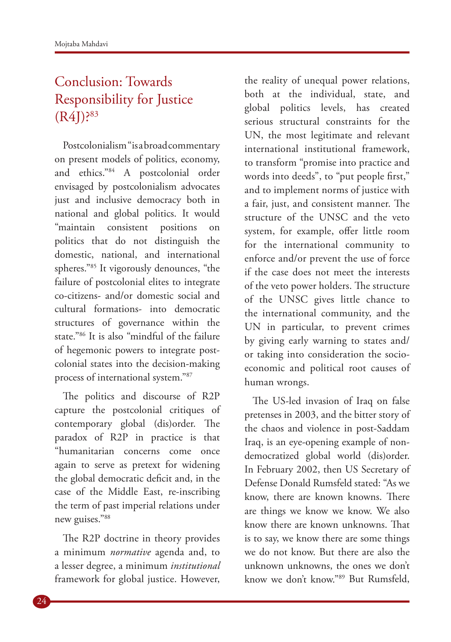## Conclusion: Towards Responsibility for Justice (R4J)?83

Postcolonialism "is a broad commentary on present models of politics, economy, and ethics."84 A postcolonial order envisaged by postcolonialism advocates just and inclusive democracy both in national and global politics. It would "maintain consistent positions on politics that do not distinguish the domestic, national, and international spheres."85 It vigorously denounces, "the failure of postcolonial elites to integrate co-citizens- and/or domestic social and cultural formations- into democratic structures of governance within the state."86 It is also "mindful of the failure of hegemonic powers to integrate postcolonial states into the decision-making process of international system."87

The politics and discourse of R2P capture the postcolonial critiques of contemporary global (dis)order. The paradox of R2P in practice is that "humanitarian concerns come once again to serve as pretext for widening the global democratic deficit and, in the case of the Middle East, re-inscribing the term of past imperial relations under new guises."88

The R2P doctrine in theory provides a minimum *normative* agenda and, to a lesser degree, a minimum *institutional* framework for global justice. However,

the reality of unequal power relations, both at the individual, state, and global politics levels, has created serious structural constraints for the UN, the most legitimate and relevant international institutional framework, to transform "promise into practice and words into deeds", to "put people first," and to implement norms of justice with a fair, just, and consistent manner. The structure of the UNSC and the veto system, for example, offer little room for the international community to enforce and/or prevent the use of force if the case does not meet the interests of the veto power holders. The structure of the UNSC gives little chance to the international community, and the UN in particular, to prevent crimes by giving early warning to states and/ or taking into consideration the socioeconomic and political root causes of human wrongs.

The US-led invasion of Iraq on false pretenses in 2003, and the bitter story of the chaos and violence in post-Saddam Iraq, is an eye-opening example of nondemocratized global world (dis)order. In February 2002, then US Secretary of Defense Donald Rumsfeld stated: "As we know, there are known knowns. There are things we know we know. We also know there are known unknowns. That is to say, we know there are some things we do not know. But there are also the unknown unknowns, the ones we don't know we don't know."89 But Rumsfeld,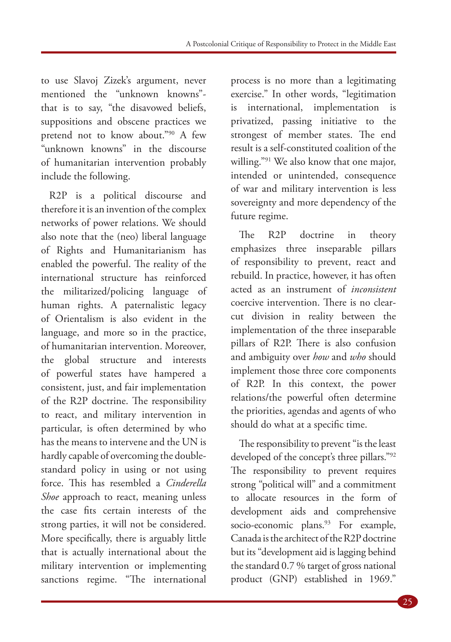to use Slavoj Zizek's argument, never mentioned the "unknown knowns" that is to say, "the disavowed beliefs, suppositions and obscene practices we pretend not to know about."90 A few "unknown knowns" in the discourse of humanitarian intervention probably include the following.

R2P is a political discourse and therefore it is an invention of the complex networks of power relations. We should also note that the (neo) liberal language of Rights and Humanitarianism has enabled the powerful. The reality of the international structure has reinforced the militarized/policing language of human rights. A paternalistic legacy of Orientalism is also evident in the language, and more so in the practice, of humanitarian intervention. Moreover, the global structure and interests of powerful states have hampered a consistent, just, and fair implementation of the R2P doctrine. The responsibility to react, and military intervention in particular, is often determined by who has the means to intervene and the UN is hardly capable of overcoming the doublestandard policy in using or not using force. This has resembled a *Cinderella Shoe* approach to react, meaning unless the case fits certain interests of the strong parties, it will not be considered. More specifically, there is arguably little that is actually international about the military intervention or implementing sanctions regime. "The international

process is no more than a legitimating exercise." In other words, "legitimation is international, implementation is privatized, passing initiative to the strongest of member states. The end result is a self-constituted coalition of the willing."<sup>91</sup> We also know that one major, intended or unintended, consequence of war and military intervention is less sovereignty and more dependency of the future regime.

The R2P doctrine in theory emphasizes three inseparable pillars of responsibility to prevent, react and rebuild. In practice, however, it has often acted as an instrument of *inconsistent*  coercive intervention. There is no clearcut division in reality between the implementation of the three inseparable pillars of R2P. There is also confusion and ambiguity over *how* and *who* should implement those three core components of R2P. In this context, the power relations/the powerful often determine the priorities, agendas and agents of who should do what at a specific time.

The responsibility to prevent "is the least developed of the concept's three pillars."92 The responsibility to prevent requires strong "political will" and a commitment to allocate resources in the form of development aids and comprehensive socio-economic plans.<sup>93</sup> For example, Canada is the architect of the R2P doctrine but its "development aid is lagging behind the standard 0.7 % target of gross national product (GNP) established in 1969."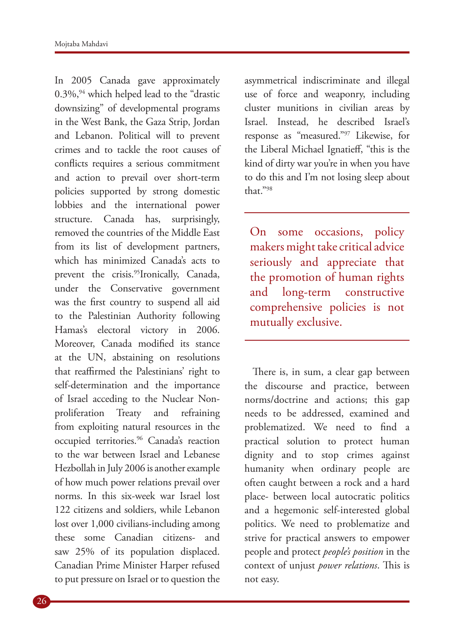In 2005 Canada gave approximately  $0.3\%$ , <sup>94</sup> which helped lead to the "drastic downsizing" of developmental programs in the West Bank, the Gaza Strip, Jordan and Lebanon. Political will to prevent crimes and to tackle the root causes of conflicts requires a serious commitment and action to prevail over short-term policies supported by strong domestic lobbies and the international power structure. Canada has, surprisingly, removed the countries of the Middle East from its list of development partners, which has minimized Canada's acts to prevent the crisis.<sup>95</sup>Ironically, Canada, under the Conservative government was the first country to suspend all aid to the Palestinian Authority following Hamas's electoral victory in 2006. Moreover, Canada modified its stance at the UN, abstaining on resolutions that reaffirmed the Palestinians' right to self-determination and the importance of Israel acceding to the Nuclear Nonproliferation Treaty and refraining from exploiting natural resources in the occupied territories.96 Canada's reaction to the war between Israel and Lebanese Hezbollah in July 2006 is another example of how much power relations prevail over norms. In this six-week war Israel lost 122 citizens and soldiers, while Lebanon lost over 1,000 civilians-including among these some Canadian citizens- and saw 25% of its population displaced. Canadian Prime Minister Harper refused to put pressure on Israel or to question the

asymmetrical indiscriminate and illegal use of force and weaponry, including cluster munitions in civilian areas by Israel. Instead, he described Israel's response as "measured."97 Likewise, for the Liberal Michael Ignatieff, "this is the kind of dirty war you're in when you have to do this and I'm not losing sleep about that."98

On some occasions, policy makers might take critical advice seriously and appreciate that the promotion of human rights and long-term constructive comprehensive policies is not mutually exclusive.

There is, in sum, a clear gap between the discourse and practice, between norms/doctrine and actions; this gap needs to be addressed, examined and problematized. We need to find a practical solution to protect human dignity and to stop crimes against humanity when ordinary people are often caught between a rock and a hard place- between local autocratic politics and a hegemonic self-interested global politics. We need to problematize and strive for practical answers to empower people and protect *people's position* in the context of unjust *power relations*. This is not easy.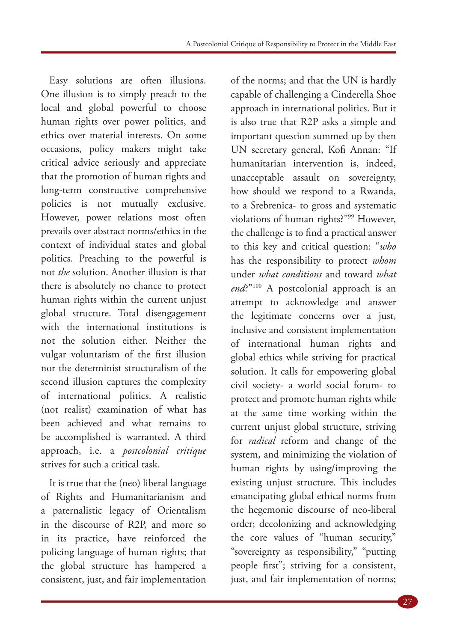Easy solutions are often illusions. One illusion is to simply preach to the local and global powerful to choose human rights over power politics, and ethics over material interests. On some occasions, policy makers might take critical advice seriously and appreciate that the promotion of human rights and long-term constructive comprehensive policies is not mutually exclusive. However, power relations most often prevails over abstract norms/ethics in the context of individual states and global politics. Preaching to the powerful is not *the* solution. Another illusion is that there is absolutely no chance to protect human rights within the current unjust global structure. Total disengagement with the international institutions is not the solution either. Neither the vulgar voluntarism of the first illusion nor the determinist structuralism of the second illusion captures the complexity of international politics. A realistic (not realist) examination of what has been achieved and what remains to be accomplished is warranted. A third approach, i.e. a *postcolonial critique* strives for such a critical task.

It is true that the (neo) liberal language of Rights and Humanitarianism and a paternalistic legacy of Orientalism in the discourse of R2P, and more so in its practice, have reinforced the policing language of human rights; that the global structure has hampered a consistent, just, and fair implementation

of the norms; and that the UN is hardly capable of challenging a Cinderella Shoe approach in international politics. But it is also true that R2P asks a simple and important question summed up by then UN secretary general, Kofi Annan: "If humanitarian intervention is, indeed, unacceptable assault on sovereignty, how should we respond to a Rwanda, to a Srebrenica- to gross and systematic violations of human rights?"99 However, the challenge is to find a practical answer to this key and critical question: "*who* has the responsibility to protect *whom* under *what conditions* and toward *what end*?"100 A postcolonial approach is an attempt to acknowledge and answer the legitimate concerns over a just, inclusive and consistent implementation of international human rights and global ethics while striving for practical solution. It calls for empowering global civil society- a world social forum- to protect and promote human rights while at the same time working within the current unjust global structure, striving for *radical* reform and change of the system, and minimizing the violation of human rights by using/improving the existing unjust structure. This includes emancipating global ethical norms from the hegemonic discourse of neo-liberal order; decolonizing and acknowledging the core values of "human security," "sovereignty as responsibility," "putting people first"; striving for a consistent, just, and fair implementation of norms;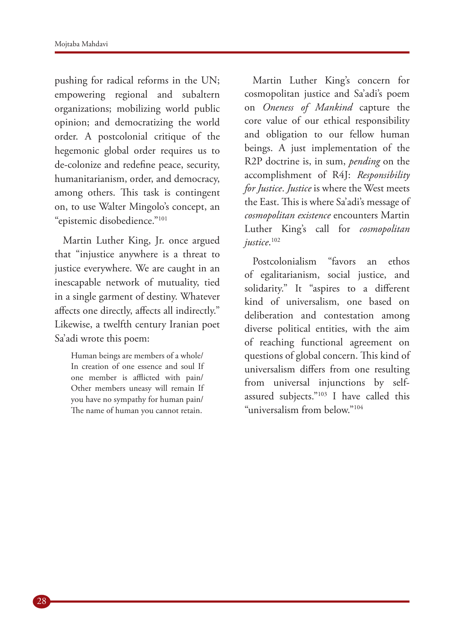pushing for radical reforms in the UN; empowering regional and subaltern organizations; mobilizing world public opinion; and democratizing the world order. A postcolonial critique of the hegemonic global order requires us to de-colonize and redefine peace, security, humanitarianism, order, and democracy, among others. This task is contingent on, to use Walter Mingolo's concept, an "epistemic disobedience."101

Martin Luther King, Jr. once argued that "injustice anywhere is a threat to justice everywhere. We are caught in an inescapable network of mutuality, tied in a single garment of destiny. Whatever affects one directly, affects all indirectly." Likewise, a twelfth century Iranian poet Sa'adi wrote this poem:

> Human beings are members of a whole/ In creation of one essence and soul If one member is afflicted with pain/ Other members uneasy will remain If you have no sympathy for human pain/ The name of human you cannot retain.

Martin Luther King's concern for cosmopolitan justice and Sa'adi's poem on *Oneness of Mankind* capture the core value of our ethical responsibility and obligation to our fellow human beings. A just implementation of the R2P doctrine is, in sum, *pending* on the accomplishment of R4J: *Responsibility for Justice*. *Justice* is where the West meets the East. This is where Sa'adi's message of *cosmopolitan existence* encounters Martin Luther King's call for *cosmopolitan justice*. 102

Postcolonialism "favors an ethos of egalitarianism, social justice, and solidarity." It "aspires to a different kind of universalism, one based on deliberation and contestation among diverse political entities, with the aim of reaching functional agreement on questions of global concern. This kind of universalism differs from one resulting from universal injunctions by selfassured subjects."103 I have called this "universalism from below."104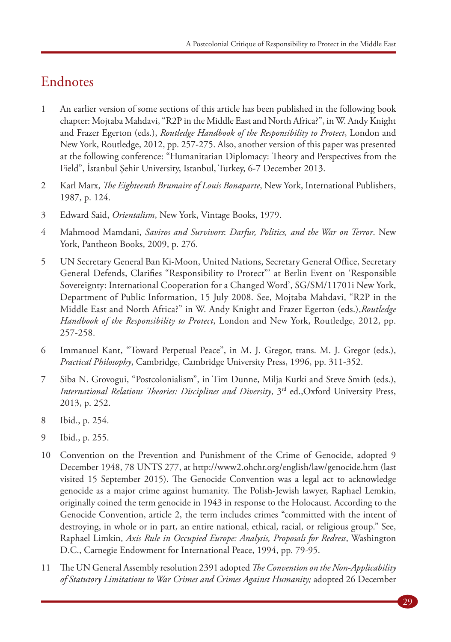#### Endnotes

- 1 An earlier version of some sections of this article has been published in the following book chapter: Mojtaba Mahdavi, "R2P in the Middle East and North Africa?", in W. Andy Knight and Frazer Egerton (eds.), *Routledge Handbook of the Responsibility to Protect*, London and New York, Routledge, 2012, pp. 257-275. Also, another version of this paper was presented at the following conference: "Humanitarian Diplomacy: Theory and Perspectives from the Field", İstanbul Şehir University, Istanbul, Turkey, 6-7 December 2013.
- 2 Karl Marx, *The Eighteenth Brumaire of Louis Bonaparte*, New York, International Publishers, 1987, p. 124.
- 3 Edward Said, *Orientalism*, New York, Vintage Books, 1979.
- 4 Mahmood Mamdani, *Saviros and Survivors*: *Darfur, Politics, and the War on Terror*. New York, Pantheon Books, 2009, p. 276.
- 5 UN Secretary General Ban Ki-Moon, United Nations, Secretary General Office, Secretary General Defends, Clarifies "Responsibility to Protect"' at Berlin Event on 'Responsible Sovereignty: International Cooperation for a Changed Word', SG/SM/11701i New York, Department of Public Information, 15 July 2008. See, Mojtaba Mahdavi, "R2P in the Middle East and North Africa?" in W. Andy Knight and Frazer Egerton (eds.),*Routledge Handbook of the Responsibility to Protect*, London and New York, Routledge, 2012, pp. 257-258.
- 6 Immanuel Kant, "Toward Perpetual Peace", in M. J. Gregor, trans. M. J. Gregor (eds.), *Practical Philosophy*, Cambridge, Cambridge University Press, 1996, pp. 311-352.
- 7 Siba N. Grovogui, "Postcolonialism", in Tim Dunne, Milja Kurki and Steve Smith (eds.), *International Relations Theories: Disciplines and Diversity*, 3rd ed.,Oxford University Press, 2013, p. 252.
- 8 Ibid., p. 254.
- 9 Ibid., p. 255.
- 10 Convention on the Prevention and Punishment of the Crime of Genocide, adopted 9 December 1948, 78 UNTS 277, at http://www2.ohchr.org/english/law/genocide.htm (last visited 15 September 2015). The Genocide Convention was a legal act to acknowledge genocide as a major crime against humanity. The Polish-Jewish lawyer, Raphael Lemkin, originally coined the term genocide in 1943 in response to the Holocaust. According to the Genocide Convention, article 2, the term includes crimes "committed with the intent of destroying, in whole or in part, an entire national, ethical, racial, or religious group." See, Raphael Limkin, *Axis Rule in Occupied Europe: Analysis, Proposals for Redress*, Washington D.C., Carnegie Endowment for International Peace, 1994, pp. 79-95.
- 11 The UN General Assembly resolution 2391 adopted *The Convention on the Non-Applicability of Statutory Limitations to War Crimes and Crimes Against Humanity;* adopted 26 December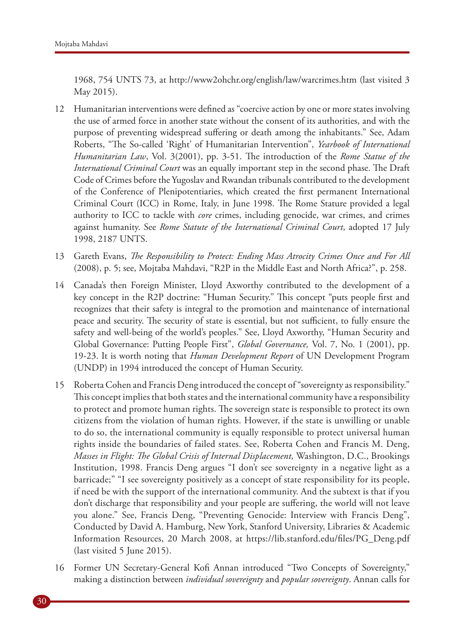1968, 754 UNTS 73, at http://www2ohchr.org/english/law/warcrimes.htm (last visited 3 May 2015).

- 12 Humanitarian interventions were defined as "coercive action by one or more states involving the use of armed force in another state without the consent of its authorities, and with the purpose of preventing widespread suffering or death among the inhabitants." See, Adam Roberts, "The So-called 'Right' of Humanitarian Intervention", *Yearbook of International Humanitarian Law*, Vol. 3(2001), pp. 3-51. The introduction of the *Rome Statue of the International Criminal Court* was an equally important step in the second phase. The Draft Code of Crimes before the Yugoslav and Rwandan tribunals contributed to the development of the Conference of Plenipotentiaries, which created the first permanent International Criminal Court (ICC) in Rome, Italy, in June 1998. The Rome Stature provided a legal authority to ICC to tackle with *core* crimes, including genocide, war crimes, and crimes against humanity. See *Rome Statute of the International Criminal Court*, adopted 17 July 1998, 2187 UNTS.
- 13 Gareth Evans, *The Responsibility to Protect: Ending Mass Atrocity Crimes Once and For All*  (2008), p. 5; see, Mojtaba Mahdavi, "R2P in the Middle East and North Africa?", p. 258.
- 14 Canada's then Foreign Minister, Lloyd Axworthy contributed to the development of a key concept in the R2P doctrine: "Human Security." This concept "puts people first and recognizes that their safety is integral to the promotion and maintenance of international peace and security. The security of state is essential, but not sufficient, to fully ensure the safety and well-being of the world's peoples." See, Lloyd Axworthy, "Human Security and Global Governance: Putting People First", *Global Governance,* Vol. 7, No. 1 (2001), pp. 19-23. It is worth noting that *Human Development Report* of UN Development Program (UNDP) in 1994 introduced the concept of Human Security.
- 15 Roberta Cohen and Francis Deng introduced the concept of "sovereignty as responsibility." This concept implies that both states and the international community have a responsibility to protect and promote human rights. The sovereign state is responsible to protect its own citizens from the violation of human rights. However, if the state is unwilling or unable to do so, the international community is equally responsible to protect universal human rights inside the boundaries of failed states. See, Roberta Cohen and Francis M. Deng, *Masses in Flight: The Global Crisis of Internal Displacement,* Washington, D.C., Brookings Institution, 1998. Francis Deng argues "I don't see sovereignty in a negative light as a barricade;" "I see sovereignty positively as a concept of state responsibility for its people, if need be with the support of the international community. And the subtext is that if you don't discharge that responsibility and your people are suffering, the world will not leave you alone." See, Francis Deng, "Preventing Genocide: Interview with Francis Deng", Conducted by David A. Hamburg, New York, Stanford University, Libraries & Academic Information Resources, 20 March 2008, at https://lib.stanford.edu/files/PG\_Deng.pdf (last visited 5 June 2015).
- 16 Former UN Secretary-General Kofi Annan introduced "Two Concepts of Sovereignty," making a distinction between *individual sovereignty* and *popular sovereignty*. Annan calls for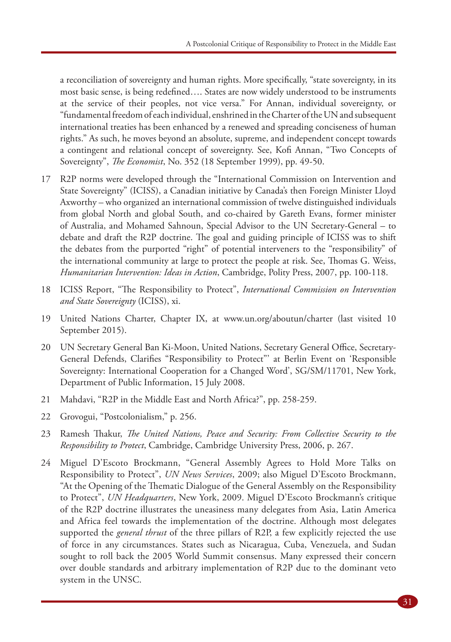a reconciliation of sovereignty and human rights. More specifically, "state sovereignty, in its most basic sense, is being redefined…. States are now widely understood to be instruments at the service of their peoples, not vice versa." For Annan, individual sovereignty, or "fundamental freedom of each individual, enshrined in the Charter of the UN and subsequent international treaties has been enhanced by a renewed and spreading conciseness of human rights." As such, he moves beyond an absolute, supreme, and independent concept towards a contingent and relational concept of sovereignty. See, Kofi Annan, "Two Concepts of Sovereignty", *The Economist*, No. 352 (18 September 1999), pp. 49-50.

- 17 R2P norms were developed through the "International Commission on Intervention and State Sovereignty" (ICISS), a Canadian initiative by Canada's then Foreign Minister Lloyd Axworthy – who organized an international commission of twelve distinguished individuals from global North and global South, and co-chaired by Gareth Evans, former minister of Australia, and Mohamed Sahnoun, Special Advisor to the UN Secretary-General – to debate and draft the R2P doctrine. The goal and guiding principle of ICISS was to shift the debates from the purported "right" of potential interveners to the "responsibility" of the international community at large to protect the people at risk. See, Thomas G. Weiss, *Humanitarian Intervention: Ideas in Action*, Cambridge, Polity Press, 2007, pp. 100-118.
- 18 ICISS Report, "The Responsibility to Protect", *International Commission on Intervention and State Sovereignty* (ICISS), xi.
- 19 United Nations Charter, Chapter IX, at www.un.org/aboutun/charter (last visited 10 September 2015).
- 20 UN Secretary General Ban Ki-Moon, United Nations, Secretary General Office, Secretary-General Defends, Clarifies "Responsibility to Protect"' at Berlin Event on 'Responsible Sovereignty: International Cooperation for a Changed Word', SG/SM/11701, New York, Department of Public Information, 15 July 2008.
- 21 Mahdavi, "R2P in the Middle East and North Africa?", pp. 258-259.
- 22 Grovogui, "Postcolonialism," p. 256.
- 23 Ramesh Thakur, *The United Nations, Peace and Security: From Collective Security to the Responsibility to Protect*, Cambridge, Cambridge University Press, 2006, p. 267.
- 24 Miguel D'Escoto Brockmann, "General Assembly Agrees to Hold More Talks on Responsibility to Protect", *UN News Services*, 2009; also Miguel D'Escoto Brockmann, "At the Opening of the Thematic Dialogue of the General Assembly on the Responsibility to Protect", *UN Headquarters*, New York, 2009. Miguel D'Escoto Brockmann's critique of the R2P doctrine illustrates the uneasiness many delegates from Asia, Latin America and Africa feel towards the implementation of the doctrine. Although most delegates supported the *general thrust* of the three pillars of R2P, a few explicitly rejected the use of force in any circumstances. States such as Nicaragua, Cuba, Venezuela, and Sudan sought to roll back the 2005 World Summit consensus. Many expressed their concern over double standards and arbitrary implementation of R2P due to the dominant veto system in the UNSC.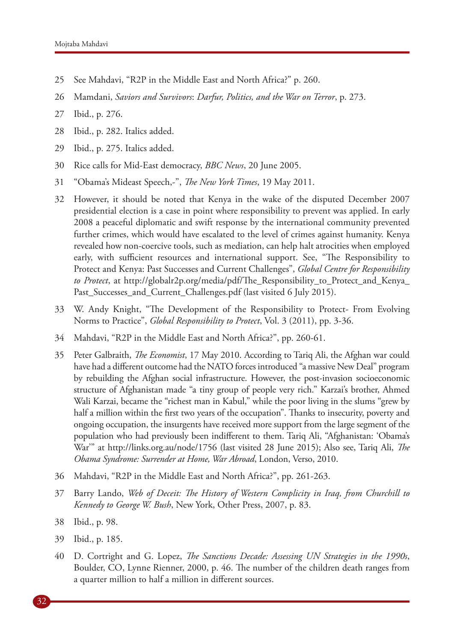- 25 See Mahdavi, "R2P in the Middle East and North Africa?" p. 260.
- 26 Mamdani, *Saviors and Survivors*: *Darfur, Politics, and the War on Terror*, p. 273.
- 27 Ibid., p. 276.
- 28 Ibid., p. 282. Italics added.
- 29 Ibid., p. 275. Italics added.
- 30 Rice calls for Mid-East democracy, *BBC News*, 20 June 2005.
- 31 "Obama's Mideast Speech,-", *The New York Times*, 19 May 2011.
- 32 However, it should be noted that Kenya in the wake of the disputed December 2007 presidential election is a case in point where responsibility to prevent was applied. In early 2008 a peaceful diplomatic and swift response by the international community prevented further crimes, which would have escalated to the level of crimes against humanity. Kenya revealed how non-coercive tools, such as mediation, can help halt atrocities when employed early, with sufficient resources and international support. See, "The Responsibility to Protect and Kenya: Past Successes and Current Challenges", *Global Centre for Responsibility to Protect*, at http://globalr2p.org/media/pdf/The\_Responsibility\_to\_Protect\_and\_Kenya\_ Past\_Successes\_and\_Current\_Challenges.pdf (last visited 6 July 2015).
- 33 W. Andy Knight, "The Development of the Responsibility to Protect- From Evolving Norms to Practice", *Global Responsibility to Protect*, Vol. 3 (2011), pp. 3-36.
- 34 Mahdavi, "R2P in the Middle East and North Africa?", pp. 260-61.
- 35 Peter Galbraith, *The Economist*, 17 May 2010. According to Tariq Ali, the Afghan war could have had a different outcome had the NATO forces introduced "a massive New Deal" program by rebuilding the Afghan social infrastructure. However, the post-invasion socioeconomic structure of Afghanistan made "a tiny group of people very rich." Karzai's brother, Ahmed Wali Karzai, became the "richest man in Kabul," while the poor living in the slums "grew by half a million within the first two years of the occupation". Thanks to insecurity, poverty and ongoing occupation, the insurgents have received more support from the large segment of the population who had previously been indifferent to them. Tariq Ali, "Afghanistan: 'Obama's War'" at http://links.org.au/node/1756 (last visited 28 June 2015); Also see, Tariq Ali, *The Obama Syndrome: Surrender at Home, War Abroad*, London, Verso, 2010.
- 36 Mahdavi, "R2P in the Middle East and North Africa?", pp. 261-263.
- 37 Barry Lando, *Web of Deceit: The History of Western Complicity in Iraq, from Churchill to Kennedy to George W. Bush*, New York, Other Press, 2007, p. 83.
- 38 Ibid., p. 98.
- 39 Ibid., p. 185.
- 40 D. Cortright and G. Lopez, *The Sanctions Decade: Assessing UN Strategies in the 1990s*, Boulder, CO, Lynne Rienner, 2000, p. 46. The number of the children death ranges from a quarter million to half a million in different sources.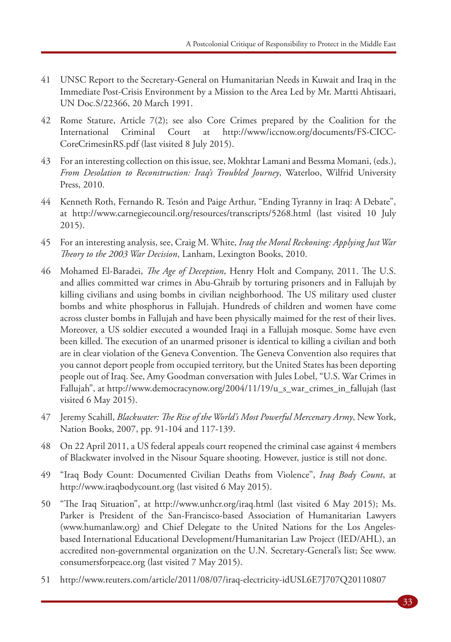- 41 UNSC Report to the Secretary-General on Humanitarian Needs in Kuwait and Iraq in the Immediate Post-Crisis Environment by a Mission to the Area Led by Mr. Martti Ahtisaari, UN Doc.S/22366, 20 March 1991.
- 42 Rome Stature, Article 7(2); see also Core Crimes prepared by the Coalition for the International Criminal Court at http://www/iccnow.org/documents/FS-CICC-CoreCrimesinRS.pdf (last visited 8 July 2015).
- 43 For an interesting collection on this issue, see, Mokhtar Lamani and Bessma Momani, (eds.), *From Desolation to Reconstruction: Iraq's Troubled Journey*, Waterloo, Wilfrid University Press, 2010.
- 44 Kenneth Roth, Fernando R. Tesón and Paige Arthur, "Ending Tyranny in Iraq: A Debate", at http://www.carnegiecouncil.org/resources/transcripts/5268.html (last visited 10 July 2015).
- 45 For an interesting analysis, see, Craig M. White, *Iraq the Moral Reckoning: Applying Just War Theory to the 2003 War Decision*, Lanham, Lexington Books, 2010.
- 46 Mohamed El-Baradei, *The Age of Deception*, Henry Holt and Company, 2011. The U.S. and allies committed war crimes in Abu-Ghraib by torturing prisoners and in Fallujah by killing civilians and using bombs in civilian neighborhood. The US military used cluster bombs and white phosphorus in Fallujah. Hundreds of children and women have come across cluster bombs in Fallujah and have been physically maimed for the rest of their lives. Moreover, a US soldier executed a wounded Iraqi in a Fallujah mosque. Some have even been killed. The execution of an unarmed prisoner is identical to killing a civilian and both are in clear violation of the Geneva Convention. The Geneva Convention also requires that you cannot deport people from occupied territory, but the United States has been deporting people out of Iraq. See, Amy Goodman conversation with Jules Lobel, "U.S. War Crimes in Fallujah", at http://www.democracynow.org/2004/11/19/u\_s\_war\_crimes\_in\_fallujah (last visited 6 May 2015).
- 47 Jeremy Scahill, *Blackwater: The Rise of the World's Most Powerful Mercenary Army*, New York, Nation Books, 2007, pp. 91-104 and 117-139.
- 48 On 22 April 2011, a US federal appeals court reopened the criminal case against 4 members of Blackwater involved in the Nisour Square shooting. However, justice is still not done.
- 49 "Iraq Body Count: Documented Civilian Deaths from Violence", *Iraq Body Count*, at http://www.iraqbodycount.org (last visited 6 May 2015).
- 50 "The Iraq Situation", at http://www.unhcr.org/iraq.html (last visited 6 May 2015); Ms. Parker is President of the San-Francisco-based Association of Humanitarian Lawyers (www.humanlaw.org) and Chief Delegate to the United Nations for the Los Angelesbased International Educational Development/Humanitarian Law Project (IED/AHL), an accredited non-governmental organization on the U.N. Secretary-General's list; See www. consumersforpeace.org (last visited 7 May 2015).
- 51 http://www.reuters.com/article/2011/08/07/iraq-electricity-idUSL6E7J707Q20110807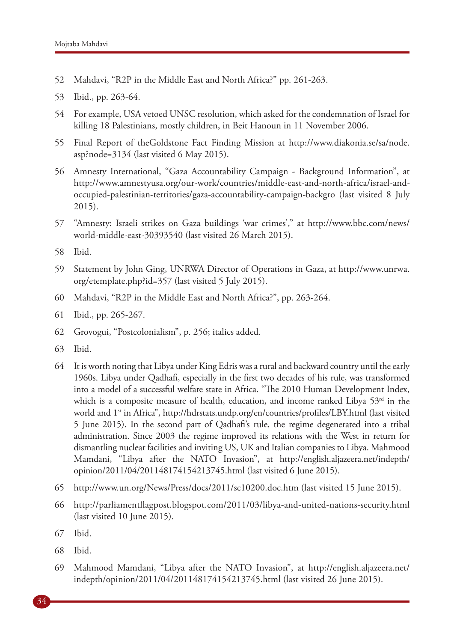- 52 Mahdavi, "R2P in the Middle East and North Africa?" pp. 261-263.
- 53 Ibid., pp. 263-64.
- 54 For example, USA vetoed UNSC resolution, which asked for the condemnation of Israel for killing 18 Palestinians, mostly children, in Beit Hanoun in 11 November 2006.
- 55 Final Report of theGoldstone Fact Finding Mission at http://www.diakonia.se/sa/node. asp?node=3134 (last visited 6 May 2015).
- 56 Amnesty International, "Gaza Accountability Campaign Background Information", at http://www.amnestyusa.org/our-work/countries/middle-east-and-north-africa/israel-andoccupied-palestinian-territories/gaza-accountability-campaign-backgro (last visited 8 July 2015).
- 57 "Amnesty: Israeli strikes on Gaza buildings 'war crimes'," at http://www.bbc.com/news/ world-middle-east-30393540 (last visited 26 March 2015).
- 58 Ibid.
- 59 Statement by John Ging, UNRWA Director of Operations in Gaza, at http://www.unrwa. org/etemplate.php?id=357 (last visited 5 July 2015).
- 60 Mahdavi, "R2P in the Middle East and North Africa?", pp. 263-264.
- 61 Ibid., pp. 265-267.
- 62 Grovogui, "Postcolonialism", p. 256; italics added.
- 63 Ibid.
- 64 It is worth noting that Libya under King Edris was a rural and backward country until the early 1960s. Libya under Qadhafi, especially in the first two decades of his rule, was transformed into a model of a successful welfare state in Africa. "The 2010 Human Development Index, which is a composite measure of health, education, and income ranked Libya  $53<sup>rd</sup>$  in the world and 1<sup>st</sup> in Africa", http://hdrstats.undp.org/en/countries/profiles/LBY.html (last visited 5 June 2015). In the second part of Qadhafi's rule, the regime degenerated into a tribal administration. Since 2003 the regime improved its relations with the West in return for dismantling nuclear facilities and inviting US, UK and Italian companies to Libya. Mahmood Mamdani, "Libya after the NATO Invasion", at http://english.aljazeera.net/indepth/ opinion/2011/04/201148174154213745.html (last visited 6 June 2015).
- 65 http://www.un.org/News/Press/docs/2011/sc10200.doc.htm (last visited 15 June 2015).
- 66 http://parliamentflagpost.blogspot.com/2011/03/libya-and-united-nations-security.html (last visited 10 June 2015).
- 67 Ibid.
- 68 Ibid.
- 69 Mahmood Mamdani, "Libya after the NATO Invasion", at http://english.aljazeera.net/ indepth/opinion/2011/04/201148174154213745.html (last visited 26 June 2015).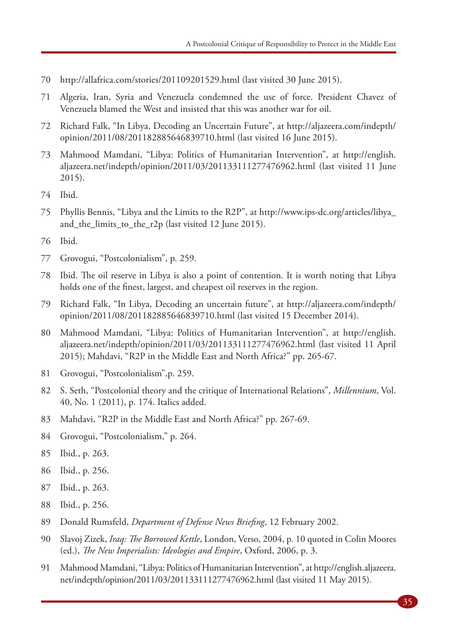- http://allafrica.com/stories/201109201529.html (last visited 30 June 2015).
- Algeria, Iran, Syria and Venezuela condemned the use of force. President Chavez of Venezuela blamed the West and insisted that this was another war for oil.
- Richard Falk, "In Libya, Decoding an Uncertain Future", at http://aljazeera.com/indepth/ opinion/2011/08/201182885646839710.html (last visited 16 June 2015).
- Mahmood Mamdani, "Libya: Politics of Humanitarian Intervention", at http://english. aljazeera.net/indepth/opinion/2011/03/201133111277476962.html (last visited 11 June 2015).
- Ibid.
- Phyllis Bennis, "Libya and the Limits to the R2P", at http://www.ips-dc.org/articles/libya\_ and\_the\_limits\_to\_the\_r2p (last visited 12 June 2015).
- Ibid.
- Grovogui, "Postcolonialism", p. 259.
- Ibid. The oil reserve in Libya is also a point of contention. It is worth noting that Libya holds one of the finest, largest, and cheapest oil reserves in the region.
- Richard Falk, "In Libya, Decoding an uncertain future", at http://aljazeera.com/indepth/ opinion/2011/08/201182885646839710.html (last visited 15 December 2014).
- Mahmood Mamdani, "Libya: Politics of Humanitarian Intervention", at http://english. aljazeera.net/indepth/opinion/2011/03/201133111277476962.html (last visited 11 April 2015); Mahdavi, "R2P in the Middle East and North Africa?" pp. 265-67.
- Grovogui, "Postcolonialism",p. 259.
- S. Seth, "Postcolonial theory and the critique of International Relations", *Millennium*, Vol. 40, No. 1 (2011), p. 174. Italics added.
- Mahdavi, "R2P in the Middle East and North Africa?" pp. 267-69.
- Grovogui, "Postcolonialism," p. 264.
- Ibid., p. 263.
- Ibid., p. 256.
- Ibid., p. 263.
- Ibid., p. 256.
- Donald Rumsfeld, *Department of Defense News Briefing*, 12 February 2002.
- Slavoj Zizek, *Iraq: The Borrowed Kettle*, London, Verso, 2004, p. 10 quoted in Colin Moores (ed.), *The New Imperialists: Ideologies and Empire*, Oxford, 2006, p. 3.
- Mahmood Mamdani, "Libya: Politics of Humanitarian Intervention", at http://english.aljazeera. net/indepth/opinion/2011/03/201133111277476962.html (last visited 11 May 2015).